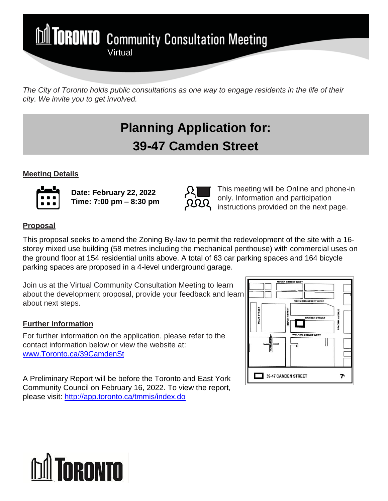

*The City of Toronto holds public consultations as one way to engage residents in the life of their city. We invite you to get involved.*

# **Planning Application for: 39-47 Camden Street**

### **Meeting Details**



**Date: February 22, 2022 Time: 7:00 pm – 8:30 pm**



This meeting will be Online and phone-in only. Information and participation instructions provided on the next page.

## **Proposal**

This proposal seeks to amend the Zoning By-law to permit the redevelopment of the site with a 16 storey mixed use building (58 metres including the mechanical penthouse) with commercial uses on the ground floor at 154 residential units above. A total of 63 car parking spaces and 164 bicycle parking spaces are proposed in a 4-level underground garage.

Join us at the Virtual Community Consultation Meeting to learn about the development proposal, provide your feedback and learn about next steps.

# **Further Information**

For further information on the application, please refer to the contact information below or view the website at: [www.Toronto.ca/39CamdenSt](http://www.toronto.ca/39CamdenSt) 

A Preliminary Report will be before the Toronto and East York Community Council on February 16, 2022. To view the report, please visit:<http://app.toronto.ca/tmmis/index.do>



# **TORONTO**